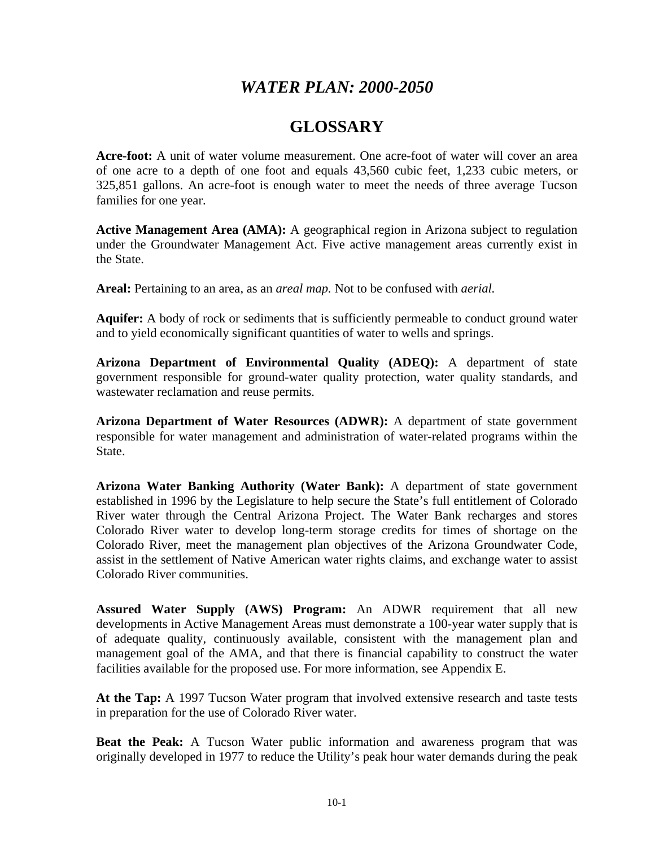## *WATER PLAN: 2000-2050*

## **GLOSSARY**

**Acre-foot:** A unit of water volume measurement. One acre-foot of water will cover an area of one acre to a depth of one foot and equals 43,560 cubic feet, 1,233 cubic meters, or 325,851 gallons. An acre-foot is enough water to meet the needs of three average Tucson families for one year.

**Active Management Area (AMA):** A geographical region in Arizona subject to regulation under the Groundwater Management Act. Five active management areas currently exist in the State.

**Areal:** Pertaining to an area, as an *areal map.* Not to be confused with *aerial.* 

**Aquifer:** A body of rock or sediments that is sufficiently permeable to conduct ground water and to yield economically significant quantities of water to wells and springs.

**Arizona Department of Environmental Quality (ADEQ):** A department of state government responsible for ground-water quality protection, water quality standards, and wastewater reclamation and reuse permits.

**Arizona Department of Water Resources (ADWR):** A department of state government responsible for water management and administration of water-related programs within the State.

**Arizona Water Banking Authority (Water Bank):** A department of state government established in 1996 by the Legislature to help secure the State's full entitlement of Colorado River water through the Central Arizona Project. The Water Bank recharges and stores Colorado River water to develop long-term storage credits for times of shortage on the Colorado River, meet the management plan objectives of the Arizona Groundwater Code, assist in the settlement of Native American water rights claims, and exchange water to assist Colorado River communities.

**Assured Water Supply (AWS) Program:** An ADWR requirement that all new developments in Active Management Areas must demonstrate a 100-year water supply that is of adequate quality, continuously available, consistent with the management plan and management goal of the AMA, and that there is financial capability to construct the water facilities available for the proposed use. For more information, see Appendix E.

**At the Tap:** A 1997 Tucson Water program that involved extensive research and taste tests in preparation for the use of Colorado River water.

**Beat the Peak:** A Tucson Water public information and awareness program that was originally developed in 1977 to reduce the Utility's peak hour water demands during the peak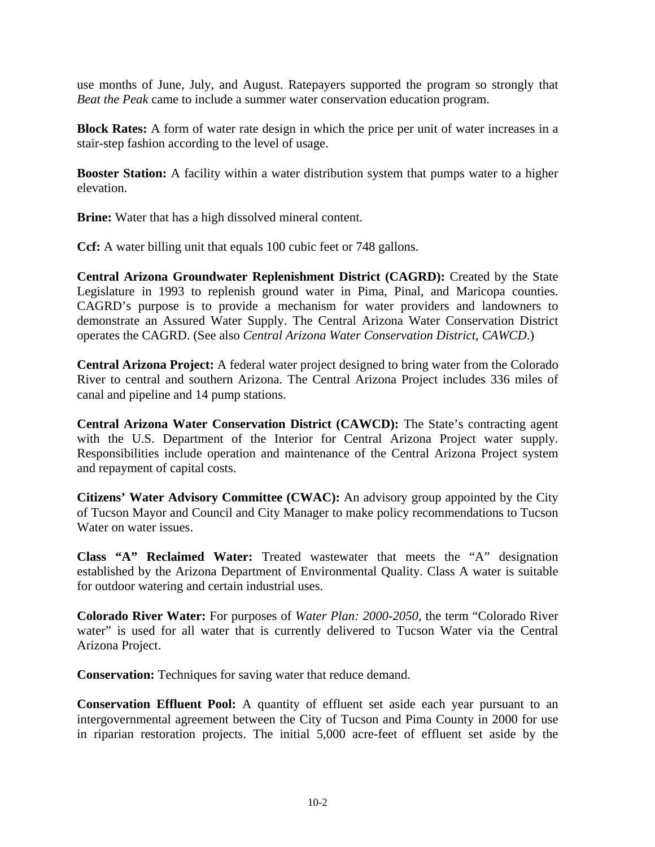use months of June, July, and August. Ratepayers supported the program so strongly that *Beat the Peak* came to include a summer water conservation education program.

**Block Rates:** A form of water rate design in which the price per unit of water increases in a stair-step fashion according to the level of usage.

**Booster Station:** A facility within a water distribution system that pumps water to a higher elevation.

**Brine:** Water that has a high dissolved mineral content.

**Ccf:** A water billing unit that equals 100 cubic feet or 748 gallons.

**Central Arizona Groundwater Replenishment District (CAGRD):** Created by the State Legislature in 1993 to replenish ground water in Pima, Pinal, and Maricopa counties. CAGRD's purpose is to provide a mechanism for water providers and landowners to demonstrate an Assured Water Supply. The Central Arizona Water Conservation District operates the CAGRD. (See also *Central Arizona Water Conservation District*, *CAWCD*.)

**Central Arizona Project:** A federal water project designed to bring water from the Colorado River to central and southern Arizona. The Central Arizona Project includes 336 miles of canal and pipeline and 14 pump stations.

**Central Arizona Water Conservation District (CAWCD):** The State's contracting agent with the U.S. Department of the Interior for Central Arizona Project water supply. Responsibilities include operation and maintenance of the Central Arizona Project system and repayment of capital costs.

**Citizens' Water Advisory Committee (CWAC):** An advisory group appointed by the City of Tucson Mayor and Council and City Manager to make policy recommendations to Tucson Water on water issues.

**Class "A" Reclaimed Water:** Treated wastewater that meets the "A" designation established by the Arizona Department of Environmental Quality. Class A water is suitable for outdoor watering and certain industrial uses.

**Colorado River Water:** For purposes of *Water Plan: 2000-2050*, the term "Colorado River water" is used for all water that is currently delivered to Tucson Water via the Central Arizona Project.

**Conservation:** Techniques for saving water that reduce demand.

**Conservation Effluent Pool:** A quantity of effluent set aside each year pursuant to an intergovernmental agreement between the City of Tucson and Pima County in 2000 for use in riparian restoration projects. The initial 5,000 acre-feet of effluent set aside by the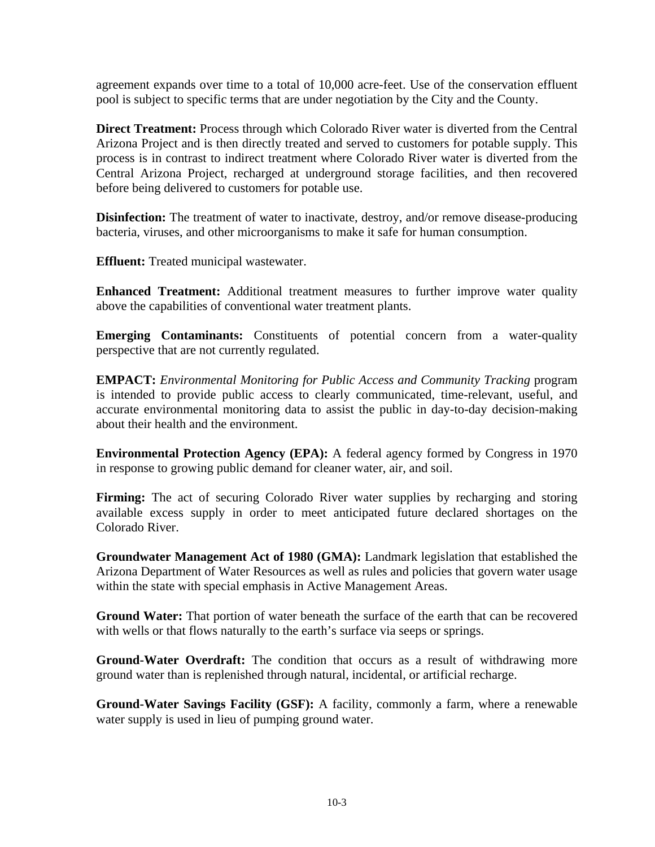agreement expands over time to a total of 10,000 acre-feet. Use of the conservation effluent pool is subject to specific terms that are under negotiation by the City and the County.

**Direct Treatment:** Process through which Colorado River water is diverted from the Central Arizona Project and is then directly treated and served to customers for potable supply. This process is in contrast to indirect treatment where Colorado River water is diverted from the Central Arizona Project, recharged at underground storage facilities, and then recovered before being delivered to customers for potable use.

**Disinfection:** The treatment of water to inactivate, destroy, and/or remove disease-producing bacteria, viruses, and other microorganisms to make it safe for human consumption.

**Effluent:** Treated municipal wastewater.

**Enhanced Treatment:** Additional treatment measures to further improve water quality above the capabilities of conventional water treatment plants.

**Emerging Contaminants:** Constituents of potential concern from a water-quality perspective that are not currently regulated.

**EMPACT:** *Environmental Monitoring for Public Access and Community Tracking* program is intended to provide public access to clearly communicated, time-relevant, useful, and accurate environmental monitoring data to assist the public in day-to-day decision-making about their health and the environment.

**Environmental Protection Agency (EPA):** A federal agency formed by Congress in 1970 in response to growing public demand for cleaner water, air, and soil.

**Firming:** The act of securing Colorado River water supplies by recharging and storing available excess supply in order to meet anticipated future declared shortages on the Colorado River.

**Groundwater Management Act of 1980 (GMA):** Landmark legislation that established the Arizona Department of Water Resources as well as rules and policies that govern water usage within the state with special emphasis in Active Management Areas.

**Ground Water:** That portion of water beneath the surface of the earth that can be recovered with wells or that flows naturally to the earth's surface via seeps or springs.

**Ground-Water Overdraft:** The condition that occurs as a result of withdrawing more ground water than is replenished through natural, incidental, or artificial recharge.

**Ground-Water Savings Facility (GSF):** A facility, commonly a farm, where a renewable water supply is used in lieu of pumping ground water.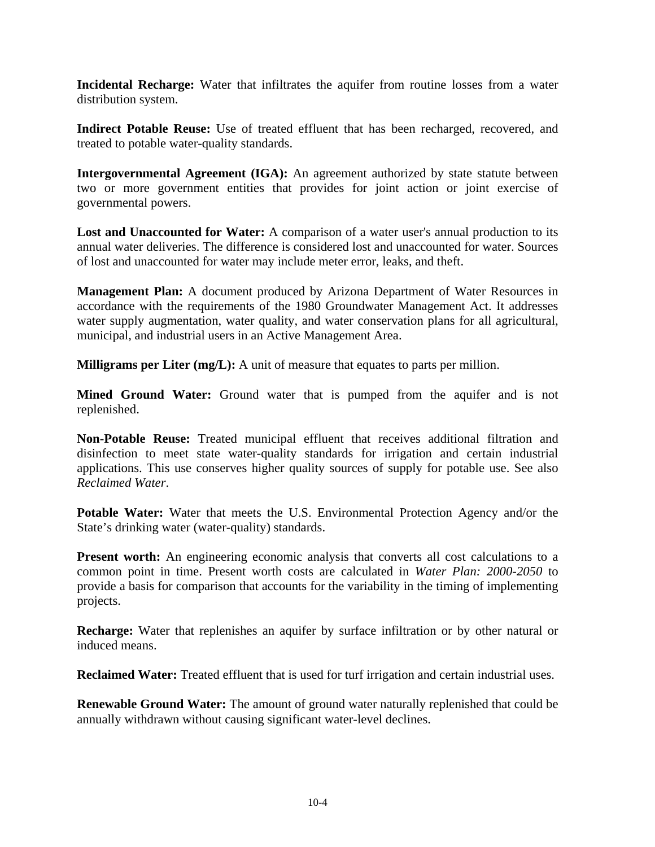**Incidental Recharge:** Water that infiltrates the aquifer from routine losses from a water distribution system.

**Indirect Potable Reuse:** Use of treated effluent that has been recharged, recovered, and treated to potable water-quality standards.

**Intergovernmental Agreement (IGA):** An agreement authorized by state statute between two or more government entities that provides for joint action or joint exercise of governmental powers.

**Lost and Unaccounted for Water:** A comparison of a water user's annual production to its annual water deliveries. The difference is considered lost and unaccounted for water. Sources of lost and unaccounted for water may include meter error, leaks, and theft.

**Management Plan:** A document produced by Arizona Department of Water Resources in accordance with the requirements of the 1980 Groundwater Management Act. It addresses water supply augmentation, water quality, and water conservation plans for all agricultural, municipal, and industrial users in an Active Management Area.

**Milligrams per Liter (mg/L):** A unit of measure that equates to parts per million.

**Mined Ground Water:** Ground water that is pumped from the aquifer and is not replenished.

**Non-Potable Reuse:** Treated municipal effluent that receives additional filtration and disinfection to meet state water-quality standards for irrigation and certain industrial applications. This use conserves higher quality sources of supply for potable use. See also *Reclaimed Water*.

**Potable Water:** Water that meets the U.S. Environmental Protection Agency and/or the State's drinking water (water-quality) standards.

**Present worth:** An engineering economic analysis that converts all cost calculations to a common point in time. Present worth costs are calculated in *Water Plan: 2000-2050* to provide a basis for comparison that accounts for the variability in the timing of implementing projects.

**Recharge:** Water that replenishes an aquifer by surface infiltration or by other natural or induced means.

**Reclaimed Water:** Treated effluent that is used for turf irrigation and certain industrial uses.

**Renewable Ground Water:** The amount of ground water naturally replenished that could be annually withdrawn without causing significant water-level declines.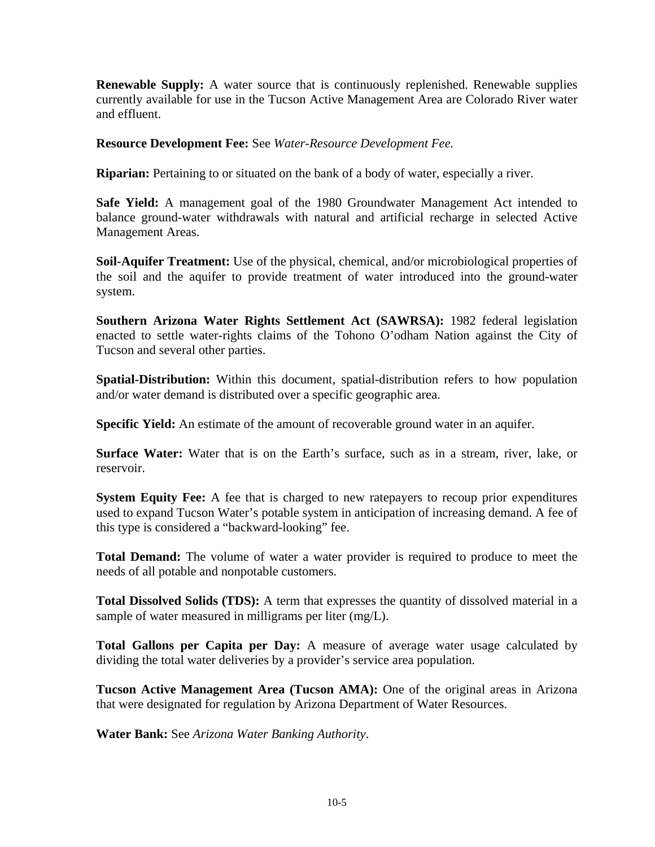**Renewable Supply:** A water source that is continuously replenished. Renewable supplies currently available for use in the Tucson Active Management Area are Colorado River water and effluent.

**Resource Development Fee:** See *Water-Resource Development Fee.* 

**Riparian:** Pertaining to or situated on the bank of a body of water, especially a river.

**Safe Yield:** A management goal of the 1980 Groundwater Management Act intended to balance ground-water withdrawals with natural and artificial recharge in selected Active Management Areas.

**Soil-Aquifer Treatment:** Use of the physical, chemical, and/or microbiological properties of the soil and the aquifer to provide treatment of water introduced into the ground-water system.

**Southern Arizona Water Rights Settlement Act (SAWRSA):** 1982 federal legislation enacted to settle water-rights claims of the Tohono O'odham Nation against the City of Tucson and several other parties.

**Spatial-Distribution:** Within this document, spatial-distribution refers to how population and/or water demand is distributed over a specific geographic area.

**Specific Yield:** An estimate of the amount of recoverable ground water in an aquifer.

**Surface Water:** Water that is on the Earth's surface, such as in a stream, river, lake, or reservoir.

**System Equity Fee:** A fee that is charged to new ratepayers to recoup prior expenditures used to expand Tucson Water's potable system in anticipation of increasing demand. A fee of this type is considered a "backward-looking" fee.

**Total Demand:** The volume of water a water provider is required to produce to meet the needs of all potable and nonpotable customers.

**Total Dissolved Solids (TDS):** A term that expresses the quantity of dissolved material in a sample of water measured in milligrams per liter (mg/L).

**Total Gallons per Capita per Day:** A measure of average water usage calculated by dividing the total water deliveries by a provider's service area population.

**Tucson Active Management Area (Tucson AMA):** One of the original areas in Arizona that were designated for regulation by Arizona Department of Water Resources.

**Water Bank:** See *Arizona Water Banking Authority*.